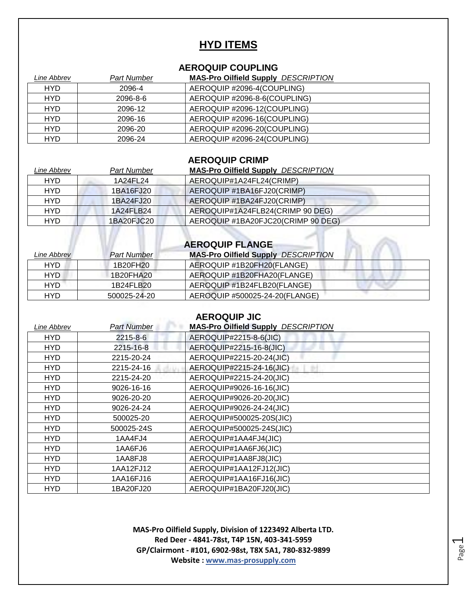## **HYD ITEMS**

### **AEROQUIP COUPLING**

| Line Abbrev | Part Number | <b>MAS-Pro Oilfield Supply DESCRIPTION</b> |
|-------------|-------------|--------------------------------------------|
| <b>HYD</b>  | 2096-4      | AEROQUIP #2096-4(COUPLING)                 |
| <b>HYD</b>  | 2096-8-6    | AEROQUIP #2096-8-6(COUPLING)               |
| <b>HYD</b>  | 2096-12     | AEROQUIP #2096-12(COUPLING)                |
| <b>HYD</b>  | 2096-16     | AEROQUIP #2096-16(COUPLING)                |
| <b>HYD</b>  | 2096-20     | AEROQUIP #2096-20(COUPLING)                |
| HYD         | 2096-24     | AEROQUIP #2096-24(COUPLING)                |

### **AEROQUIP CRIMP**

| Line Abbrev | <b>Part Number</b> | <b>MAS-Pro Oilfield Supply DESCRIPTION</b> |
|-------------|--------------------|--------------------------------------------|
| <b>HYD</b>  | 1A24FL24           | AEROQUIP#1A24FL24(CRIMP)                   |
| <b>HYD</b>  | 1BA16FJ20          | AEROQUIP #1BA16FJ20(CRIMP)                 |
| <b>HYD</b>  | 1BA24FJ20          | AEROQUIP #1BA24FJ20(CRIMP)                 |
| <b>HYD</b>  | 1A24FLB24          | AEROQUIP#1A24FLB24(CRIMP 90 DEG)           |
| <b>HYD</b>  | 1BA20FJC20         | AEROQUIP #1BA20FJC20(CRIMP 90 DEG)         |
|             |                    |                                            |
|             |                    | <b>AEROQUIP FLANGE</b>                     |

| Line Abbrev | <b>Part Number</b> | <b>MAS-Pro Oilfield Supply DESCRIPTION</b> |
|-------------|--------------------|--------------------------------------------|
| HYD         | 1B20FH20           | AEROQUIP #1B20FH20(FLANGE)                 |
| HYD         | 1B20FHA20          | AEROQUIP #1B20FHA20(FLANGE)                |
| HYD         | 1B24FLB20          | AEROQUIP #1B24FLB20(FLANGE)                |
| HYD         | 500025-24-20       | AEROQUIP #500025-24-20(FLANGE)             |

### **AEROQUIP JIC**

| Line Abbrev | Part Number | <b>MAS-Pro Oilfield Supply DESCRIPTION</b> |
|-------------|-------------|--------------------------------------------|
| HYD.        | 2215-8-6    | AEROQUIP#2215-8-6(JIC)                     |
| <b>HYD</b>  | 2215-16-8   | AEROQUIP#2215-16-8(JIC)                    |
| <b>HYD</b>  | 2215-20-24  | AEROQUIP#2215-20-24(JIC)                   |
| <b>HYD</b>  | 2215-24-16  | AEROQUIP#2215-24-16(JIC)                   |
| <b>HYD</b>  | 2215-24-20  | AEROQUIP#2215-24-20(JIC)                   |
| HYD         | 9026-16-16  | AEROQUIP#9026-16-16(JIC)                   |
| <b>HYD</b>  | 9026-20-20  | AEROQUIP#9026-20-20(JIC)                   |
| <b>HYD</b>  | 9026-24-24  | AEROQUIP#9026-24-24(JIC)                   |
| <b>HYD</b>  | 500025-20   | AEROQUIP#500025-20S(JIC)                   |
| <b>HYD</b>  | 500025-24S  | AEROQUIP#500025-24S(JIC)                   |
| <b>HYD</b>  | 1AA4FJ4     | AEROQUIP#1AA4FJ4(JIC)                      |
| HYD         | 1AA6FJ6     | AEROQUIP#1AA6FJ6(JIC)                      |
| <b>HYD</b>  | 1AA8FJ8     | AEROQUIP#1AA8FJ8(JIC)                      |
| <b>HYD</b>  | 1AA12FJ12   | AEROQUIP#1AA12FJ12(JIC)                    |
| <b>HYD</b>  | 1AA16FJ16   | AEROQUIP#1AA16FJ16(JIC)                    |
| <b>HYD</b>  | 1BA20FJ20   | AEROQUIP#1BA20FJ20(JIC)                    |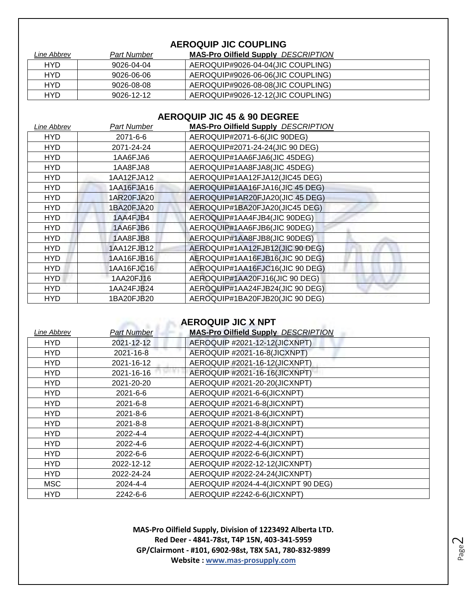### **AEROQUIP JIC COUPLING**

| Line Abbrev | <b>Part Number</b> | <b>MAS-Pro Oilfield Supply DESCRIPTION</b> |
|-------------|--------------------|--------------------------------------------|
| <b>HYD</b>  | 9026-04-04         | AEROQUIP#9026-04-04(JIC COUPLING)          |
| HYD         | 9026-06-06         | AEROQUIP#9026-06-06(JIC COUPLING)          |
| HYD         | 9026-08-08         | AEROQUIP#9026-08-08(JIC COUPLING)          |
| HYD         | 9026-12-12         | AEROQUIP#9026-12-12(JIC COUPLING)          |

### **AEROQUIP JIC 45 & 90 DEGREE**

| Line Abbrev | Part Number | <b>MAS-Pro Oilfield Supply DESCRIPTION</b> |
|-------------|-------------|--------------------------------------------|
| HYD         | 2071-6-6    | AEROQUIP#2071-6-6(JIC 90DEG)               |
| <b>HYD</b>  | 2071-24-24  | AEROQUIP#2071-24-24(JIC 90 DEG)            |
| HYD         | 1AA6FJA6    | AEROQUIP#1AA6FJA6(JIC 45DEG)               |
| HYD         | 1AA8FJA8    | AEROQUIP#1AA8FJA8(JIC 45DEG)               |
| HYD         | 1AA12FJA12  | AEROQUIP#1AA12FJA12(JIC45 DEG)             |
| HYD         | 1AA16FJA16  | AEROQUIP#1AA16FJA16(JIC 45 DEG)            |
| HYD         | 1AR20FJA20  | AEROQUIP#1AR20FJA20(JIC 45 DEG)            |
| HYD.        | 1BA20FJA20  | AEROQUIP#1BA20FJA20(JIC45 DEG)             |
| <b>HYD</b>  | 1AA4FJB4    | AEROQUIP#1AA4FJB4(JIC 90DEG)               |
| <b>HYD</b>  | 1AA6FJB6    | AEROQUIP#1AA6FJB6(JIC 90DEG)               |
| <b>HYD</b>  | 1AA8FJB8    | AEROQUIP#1AA8FJB8(JIC 90DEG)               |
| <b>HYD</b>  | 1AA12FJB12  | AEROQUIP#1AA12FJB12(JIC 90 DEG)            |
| <b>HYD</b>  | 1AA16FJB16  | AEROQUIP#1AA16FJB16(JIC 90 DEG)            |
| <b>HYD</b>  | 1AA16FJC16  | AEROQUIP#1AA16FJC16(JIC 90 DEG)            |
| <b>HYD</b>  | 1AA20FJ16   | AEROQUIP#1AA20FJ16(JIC 90 DEG)             |
| HYD         | 1AA24FJB24  | AEROQUIP#1AA24FJB24(JIC 90 DEG)            |
| <b>HYD</b>  | 1BA20FJB20  | AEROQUIP#1BA20FJB20(JIC 90 DEG)            |

### **AEROQUIP JIC X NPT**

| Line Abbrev | <b>Part Number</b> | <b>MAS-Pro Oilfield Supply DESCRIPTION</b> |
|-------------|--------------------|--------------------------------------------|
| <b>HYD</b>  | 2021-12-12         | AEROQUIP #2021-12-12(JICXNPT)              |
| <b>HYD</b>  | 2021-16-8          | AEROQUIP #2021-16-8(JICXNPT)               |
| HYD         | 2021-16-12         | AEROQUIP #2021-16-12(JICXNPT)              |
| <b>HYD</b>  | 2021-16-16         | AEROQUIP #2021-16-16(JICXNPT)              |
| <b>HYD</b>  | 2021-20-20         | AEROQUIP #2021-20-20(JICXNPT)              |
| <b>HYD</b>  | 2021-6-6           | AEROQUIP #2021-6-6(JICXNPT)                |
| HYD         | 2021-6-8           | AEROQUIP #2021-6-8(JICXNPT)                |
| HYD         | $2021 - 8 - 6$     | AEROQUIP #2021-8-6(JICXNPT)                |
| <b>HYD</b>  | $2021 - 8 - 8$     | AEROQUIP #2021-8-8(JICXNPT)                |
| <b>HYD</b>  | 2022-4-4           | AEROQUIP #2022-4-4(JICXNPT)                |
| HYD         | 2022-4-6           | AEROQUIP #2022-4-6(JICXNPT)                |
| <b>HYD</b>  | $2022 - 6 - 6$     | AEROQUIP #2022-6-6(JICXNPT)                |
| <b>HYD</b>  | 2022-12-12         | AEROQUIP #2022-12-12(JICXNPT)              |
| <b>HYD</b>  | 2022-24-24         | AEROQUIP #2022-24-24(JICXNPT)              |
| <b>MSC</b>  | 2024-4-4           | AEROQUIP #2024-4-4(JICXNPT 90 DEG)         |
| <b>HYD</b>  | 2242-6-6           | AEROQUIP #2242-6-6(JICXNPT)                |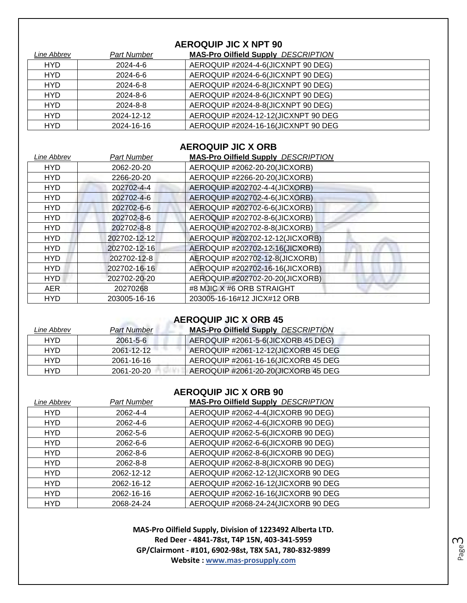### **AEROQUIP JIC X NPT 90**

| Line Abbrev | <b>Part Number</b> | <b>MAS-Pro Oilfield Supply DESCRIPTION</b> |
|-------------|--------------------|--------------------------------------------|
| <b>HYD</b>  | 2024-4-6           | AEROQUIP #2024-4-6(JICXNPT 90 DEG)         |
| <b>HYD</b>  | 2024-6-6           | AEROQUIP #2024-6-6(JICXNPT 90 DEG)         |
| <b>HYD</b>  | 2024-6-8           | AEROQUIP #2024-6-8(JICXNPT 90 DEG)         |
| <b>HYD</b>  | 2024-8-6           | AEROQUIP #2024-8-6(JICXNPT 90 DEG)         |
| <b>HYD</b>  | 2024-8-8           | AEROQUIP #2024-8-8(JICXNPT 90 DEG)         |
| <b>HYD</b>  | 2024-12-12         | AEROQUIP #2024-12-12(JICXNPT 90 DEG        |
| <b>HYD</b>  | 2024-16-16         | AEROQUIP #2024-16-16(JICXNPT 90 DEG        |

### **AEROQUIP JIC X ORB**

| Line Abbrev | <b>Part Number</b> | <b>MAS-Pro Oilfield Supply DESCRIPTION</b> |
|-------------|--------------------|--------------------------------------------|
| <b>HYD</b>  | 2062-20-20         | AEROQUIP #2062-20-20(JICXORB)              |
| <b>HYD</b>  | 2266-20-20         | AEROQUIP #2266-20-20(JICXORB)              |
| <b>HYD</b>  | 202702-4-4         | AEROQUIP #202702-4-4(JICXORB)              |
| <b>HYD</b>  | 202702-4-6         | AEROQUIP #202702-4-6(JICXORB)              |
| <b>HYD</b>  | 202702-6-6         | AEROQUIP #202702-6-6(JICXORB)              |
| <b>HYD</b>  | 202702-8-6         | AEROQUIP #202702-8-6(JICXORB)              |
| <b>HYD</b>  | 202702-8-8         | AEROQUIP #202702-8-8(JICXORB)              |
| <b>HYD</b>  | 202702-12-12       | AEROQUIP #202702-12-12(JICXORB)            |
| <b>HYD</b>  | 202702-12-16       | AEROQUIP #202702-12-16(JICXORB)            |
| <b>HYD</b>  | 202702-12-8        | AEROQUIP #202702-12-8(JICXORB)             |
| <b>HYD</b>  | 202702-16-16       | AEROQUIP #202702-16-16(JICXORB)            |
| <b>HYD</b>  | 202702-20-20       | AEROQUIP #202702-20-20(JICXORB)            |
| <b>AER</b>  | 20270268           | #8 MJIC X #6 ORB STRAIGHT                  |
| <b>HYD</b>  | 203005-16-16       | 203005-16-16#12 JICX#12 ORB                |

### **AEROQUIP JIC X ORB 45**

| Line Abbrev | <b>Part Number</b> | <b>MAS-Pro Oilfield Supply DESCRIPTION</b> |
|-------------|--------------------|--------------------------------------------|
| <b>HYD</b>  | 2061-5-6           | AEROQUIP #2061-5-6(JICXORB 45 DEG)         |
| <b>HYD</b>  | 2061-12-12         | AEROQUIP #2061-12-12(JICXORB 45 DEG        |
| <b>HYD</b>  | 2061-16-16         | AEROQUIP #2061-16-16(JICXORB 45 DEG        |
| <b>HYD</b>  | 2061-20-20         | AEROQUIP #2061-20-20(JICXORB 45 DEG        |

### **AEROQUIP JIC X ORB 90**

| Line Abbrev | <b>Part Number</b> | <b>MAS-Pro Oilfield Supply DESCRIPTION</b> |
|-------------|--------------------|--------------------------------------------|
| <b>HYD</b>  | 2062-4-4           | AEROQUIP #2062-4-4(JICXORB 90 DEG)         |
| <b>HYD</b>  | 2062-4-6           | AEROQUIP #2062-4-6(JICXORB 90 DEG)         |
| <b>HYD</b>  | 2062-5-6           | AEROQUIP #2062-5-6(JICXORB 90 DEG)         |
| <b>HYD</b>  | 2062-6-6           | AEROQUIP #2062-6-6(JICXORB 90 DEG)         |
| <b>HYD</b>  | 2062-8-6           | AEROQUIP #2062-8-6(JICXORB 90 DEG)         |
| <b>HYD</b>  | 2062-8-8           | AEROQUIP #2062-8-8(JICXORB 90 DEG)         |
| <b>HYD</b>  | 2062-12-12         | AEROQUIP #2062-12-12(JICXORB 90 DEG        |
| <b>HYD</b>  | 2062-16-12         | AEROQUIP #2062-16-12(JICXORB 90 DEG        |
| <b>HYD</b>  | 2062-16-16         | AEROQUIP #2062-16-16(JICXORB 90 DEG        |
| <b>HYD</b>  | 2068-24-24         | AEROQUIP #2068-24-24(JICXORB 90 DEG        |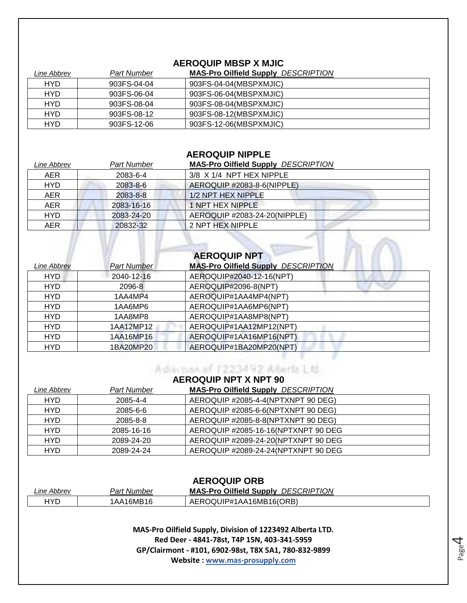### **AEROQUIP MBSP X MJIC**

| Line Abbrev | Part Number | <b>MAS-Pro Oilfield Supply DESCRIPTION</b> |
|-------------|-------------|--------------------------------------------|
| <b>HYD</b>  | 903FS-04-04 | 903FS-04-04(MBSPXMJIC)                     |
| <b>HYD</b>  | 903FS-06-04 | 903FS-06-04(MBSPXMJIC)                     |
| <b>HYD</b>  | 903FS-08-04 | 903FS-08-04(MBSPXMJIC)                     |
| <b>HYD</b>  | 903FS-08-12 | 903FS-08-12(MBSPXMJIC)                     |
| HYD         | 903FS-12-06 | 903FS-12-06(MBSPXMJIC)                     |

### **AEROQUIP NIPPLE**

| Line Abbrev | <b>Part Number</b> | <b>MAS-Pro Oilfield Supply DESCRIPTION</b> |
|-------------|--------------------|--------------------------------------------|
| AER         | 2083-6-4           | $3/8$ X $1/4$ NPT HEX NIPPLE               |
| <b>HYD</b>  | 2083-8-6           | AEROQUIP #2083-8-6(NIPPLE)                 |
| AER         | 2083-8-8           | 1/2 NPT HEX NIPPLE                         |
| <b>AER</b>  | 2083-16-16         | 1 NPT HEX NIPPLE                           |
| <b>HYD</b>  | 2083-24-20         | AEROQUIP #2083-24-20(NIPPLE)               |
| <b>AER</b>  | 20832-32           | 2 NPT HEX NIPPLE                           |

| Line Abbrev | <b>Part Number</b> | <b>AEROQUIP NPT</b><br><b>MAS-Pro Oilfield Supply DESCRIPTION</b> |
|-------------|--------------------|-------------------------------------------------------------------|
| <b>HYD</b>  | 2040-12-16         | AEROQUIP#2040-12-16(NPT)                                          |
| <b>HYD</b>  | 2096-8             | AEROQUIP#2096-8(NPT)                                              |
| <b>HYD</b>  | 1AA4MP4            | AEROQUIP#1AA4MP4(NPT)                                             |
| <b>HYD</b>  | 1AA6MP6            | AEROQUIP#1AA6MP6(NPT)                                             |
| <b>HYD</b>  | 1AA8MP8            | AEROQUIP#1AA8MP8(NPT)                                             |
| <b>HYD</b>  | 1AA12MP12          | AEROQUIP#1AA12MP12(NPT)                                           |
| <b>HYD</b>  | 1AA16MP16          | AEROQUIP#1AA16MP16(NPT)                                           |
| <b>HYD</b>  | 1BA20MP20          | AEROQUIP#1BA20MP20(NPT)                                           |

### **AEROQUIP NPT X NPT 90**

A during of 1223492 Alberta Ltd.

| Line Abbrev | Part Number | <b>MAS-Pro Oilfield Supply DESCRIPTION</b> |
|-------------|-------------|--------------------------------------------|
| <b>HYD</b>  | 2085-4-4    | AEROQUIP #2085-4-4(NPTXNPT 90 DEG)         |
| <b>HYD</b>  | 2085-6-6    | AEROQUIP #2085-6-6(NPTXNPT 90 DEG)         |
| <b>HYD</b>  | 2085-8-8    | AEROQUIP #2085-8-8(NPTXNPT 90 DEG)         |
| <b>HYD</b>  | 2085-16-16  | AEROQUIP #2085-16-16(NPTXNPT 90 DEG        |
| <b>HYD</b>  | 2089-24-20  | AEROQUIP #2089-24-20(NPTXNPT 90 DEG        |
| <b>HYD</b>  | 2089-24-24  | AEROQUIP #2089-24-24(NPTXNPT 90 DEG        |

### **AEROQUIP ORB**

| Line Abbrev | Part Number | <b>MAS-Pro Oilfield Supply</b><br><b>DESCRIPTION</b> |
|-------------|-------------|------------------------------------------------------|
| HYD         | 1AA16MB16   | AEROQUIP#1AA16MB16(ORB)                              |

**MAS-Pro Oilfield Supply, Division of 1223492 Alberta LTD. Red Deer - 4841-78st, T4P 15N, 403-341-5959 GP/Clairmont - #101, 6902-98st, T8X 5A1, 780-832-9899 Website : www.mas-prosupply.com**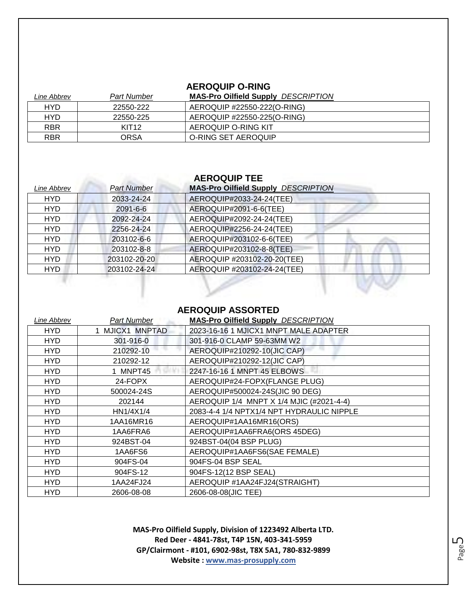### **AEROQUIP O-RING**

| Line Abbrev | <b>Part Number</b> | <b>MAS-Pro Oilfield Supply DESCRIPTION</b> |
|-------------|--------------------|--------------------------------------------|
| <b>HYD</b>  | 22550-222          | AEROQUIP #22550-222(O-RING)                |
| <b>HYD</b>  | 22550-225          | AEROQUIP #22550-225(O-RING)                |
| <b>RBR</b>  | KIT <sub>12</sub>  | AEROQUIP O-RING KIT                        |
| <b>RBR</b>  | ORSA               | O-RING SET AEROQUIP                        |

### **AEROQUIP TEE**

| Line Abbrev | <b>Part Number</b> | <b>MAS-Pro Oilfield Supply DESCRIPTION</b> |
|-------------|--------------------|--------------------------------------------|
| <b>HYD</b>  | 2033-24-24         | AEROQUIP#2033-24-24(TEE)                   |
| <b>HYD</b>  | 2091-6-6           | AEROQUIP#2091-6-6(TEE)                     |
| <b>HYD</b>  | 2092-24-24         | AEROQUIP#2092-24-24(TEE)                   |
| <b>HYD</b>  | 2256-24-24         | AEROQUIP#2256-24-24(TEE)                   |
| <b>HYD</b>  | 203102-6-6         | AEROQUIP#203102-6-6(TEE)                   |
| <b>HYD</b>  | 203102-8-8         | AEROQUIP#203102-8-8(TEE)                   |
| <b>HYD</b>  | 203102-20-20       | AEROQUIP #203102-20-20(TEE)                |
| <b>HYD</b>  | 203102-24-24       | AEROQUIP #203102-24-24(TEE)                |
|             |                    |                                            |

### **AEROQUIP ASSORTED**

| Line Abbrev | <b>Part Number</b> | <b>MAS-Pro Oilfield Supply DESCRIPTION</b> |
|-------------|--------------------|--------------------------------------------|
| HYD         | 1 MJICX1 MNPTAD    | 2023-16-16 1 MJICX1 MNPT MALE ADAPTER      |
| <b>HYD</b>  | 301-916-0          | 301-916-0 CLAMP 59-63MM W2                 |
| <b>HYD</b>  | 210292-10          | AEROQUIP#210292-10(JIC CAP)                |
| <b>HYD</b>  | 210292-12          | AEROQUIP#210292-12(JIC CAP)                |
| <b>HYD</b>  | 1 MNPT45           | 2247-16-16 1 MNPT 45 ELBOWS                |
| HYD         | 24-FOPX            | AEROQUIP#24-FOPX(FLANGE PLUG)              |
| <b>HYD</b>  | 500024-24S         | AEROQUIP#500024-24S(JIC 90 DEG)            |
| HYD         | 202144             | AEROQUIP 1/4 MNPT X 1/4 MJIC (#2021-4-4)   |
| <b>HYD</b>  | HN1/4X1/4          | 2083-4-4 1/4 NPTX1/4 NPT HYDRAULIC NIPPLE  |
| HYD.        | 1AA16MR16          | AEROQUIP#1AA16MR16(ORS)                    |
| HYD         | 1AA6FRA6           | AEROQUIP#1AA6FRA6(ORS 45DEG)               |
| <b>HYD</b>  | 924BST-04          | 924BST-04(04 BSP PLUG)                     |
| <b>HYD</b>  | 1AA6FS6            | AEROQUIP#1AA6FS6(SAE FEMALE)               |
| <b>HYD</b>  | 904FS-04           | 904FS-04 BSP SEAL                          |
| <b>HYD</b>  | 904FS-12           | 904FS-12(12 BSP SEAL)                      |
| <b>HYD</b>  | 1AA24FJ24          | AEROQUIP #1AA24FJ24(STRAIGHT)              |
| <b>HYD</b>  | 2606-08-08         | 2606-08-08(JIC TEE)                        |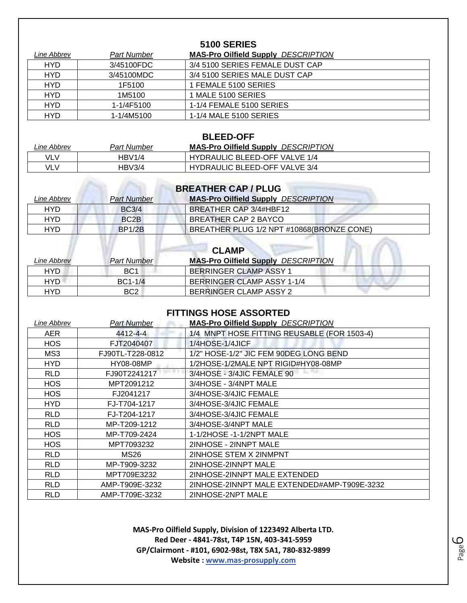| <b>5100 SERIES</b> |             |                                            |  |
|--------------------|-------------|--------------------------------------------|--|
| Line Abbrev        | Part Number | <b>MAS-Pro Oilfield Supply DESCRIPTION</b> |  |
| <b>HYD</b>         | 3/45100FDC  | 3/4 5100 SERIES FEMALE DUST CAP            |  |
| <b>HYD</b>         | 3/45100MDC  | 3/4 5100 SERIES MALE DUST CAP              |  |
| <b>HYD</b>         | 1F5100      | 1 FEMALE 5100 SERIES                       |  |
| <b>HYD</b>         | 1M5100      | 1 MALE 5100 SERIES                         |  |
| <b>HYD</b>         | 1-1/4F5100  | 1-1/4 FEMALE 5100 SERIES                   |  |
| <b>HYD</b>         | 1-1/4M5100  | 1-1/4 MALE 5100 SERIES                     |  |

| <b>BLEED-OFF</b> |                    |                                            |  |
|------------------|--------------------|--------------------------------------------|--|
| Line Abbrev      | <b>Part Number</b> | <b>MAS-Pro Oilfield Supply DESCRIPTION</b> |  |
| VLV              | HBV1/4             | <b>HYDRAULIC BLEED-OFF VALVE 1/4</b>       |  |
| VLV              | HBV3/4             | <b>HYDRAULIC BLEED-OFF VALVE 3/4</b>       |  |
|                  |                    |                                            |  |

Caller Callery Direct

| Line Abbrev | <b>Part Number</b> | <b>MAS-Pro Oilfield Supply DESCRIPTION</b> |
|-------------|--------------------|--------------------------------------------|
| <b>HYD</b>  | BC3/4              | BREATHER CAP 3/4#HBF12                     |
| <b>HYD</b>  | BC2B               | BREATHER CAP 2 BAYCO                       |
| <b>HYD</b>  | <b>BP1/2B</b>      | BREATHER PLUG 1/2 NPT #10868(BRONZE CONE)  |

| <b>CLAMP</b>       |                    |                                            |
|--------------------|--------------------|--------------------------------------------|
| <i>Line Abbrev</i> | <b>Part Number</b> | <b>MAS-Pro Oilfield Supply DESCRIPTION</b> |
| HYD                | BC <sub>1</sub>    | <b>BERRINGER CLAMP ASSY 1</b>              |
| HYD                | $BC1-1/4$          | BERRINGER CLAMP ASSY 1-1/4                 |
| HYD                | BC <sub>2</sub>    | BERRINGER CLAMP ASSY 2                     |

### **FITTINGS HOSE ASSORTED**

| Line Abbrev | <b>Part Number</b> | <b>MAS-Pro Oilfield Supply DESCRIPTION</b>  |
|-------------|--------------------|---------------------------------------------|
| <b>AER</b>  | 4412-4-4           | 1/4 MNPT HOSE FITTING REUSABLE (FOR 1503-4) |
| <b>HOS</b>  | FJT2040407         | 1/4HOSE-1/4JICF                             |
| MS3         | FJ90TL-T228-0812   | 1/2" HOSE-1/2" JIC FEM 90DEG LONG BEND      |
| <b>HYD</b>  | HY08-08MP          | 1/2HOSE-1/2MALE NPT RIGID#HY08-08MP         |
| <b>RLD</b>  | FJ90T2241217       | 3/4HOSE - 3/4JIC FEMALE 90                  |
| <b>HOS</b>  | MPT2091212         | 3/4HOSE - 3/4NPT MALE                       |
| <b>HOS</b>  | FJ2041217          | 3/4HOSE-3/4JIC FEMALE                       |
| HYD.        | FJ-T704-1217       | 3/4HOSE-3/4JIC FEMALE                       |
| <b>RLD</b>  | FJ-T204-1217       | 3/4HOSE-3/4JIC FEMALE                       |
| <b>RLD</b>  | MP-T209-1212       | 3/4HOSE-3/4NPT MALE                         |
| <b>HOS</b>  | MP-T709-2424       | 1-1/2HOSE -1-1/2NPT MALE                    |
| <b>HOS</b>  | MPT7093232         | 2INHOSE - 2INNPT MALE                       |
| <b>RLD</b>  | <b>MS26</b>        | 2INHOSE STEM X 2INMPNT                      |
| <b>RLD</b>  | MP-T909-3232       | 2INHOSE-2INNPT MALE                         |
| <b>RLD</b>  | MPT709E3232        | 2INHOSE-2INNPT MALE EXTENDED                |
| <b>RLD</b>  | AMP-T909E-3232     | 2INHOSE-2INNPT MALE EXTENDED#AMP-T909E-3232 |
| RLD         | AMP-T709E-3232     | 2INHOSE-2NPT MALE                           |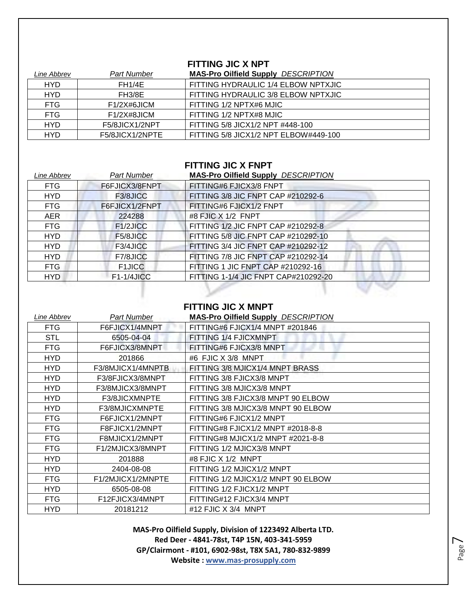### **FITTING JIC X NPT**

| Line Abbrev | <b>Part Number</b> | <b>MAS-Pro Oilfield Supply DESCRIPTION</b> |
|-------------|--------------------|--------------------------------------------|
| <b>HYD</b>  | <b>FH1/4E</b>      | FITTING HYDRAULIC 1/4 ELBOW NPTXJIC        |
| <b>HYD</b>  | <b>FH3/8E</b>      | FITTING HYDRAULIC 3/8 ELBOW NPTXJIC        |
| <b>FTG</b>  | $F1/2X\#6JICM$     | FITTING 1/2 NPTX#6 MJIC                    |
| <b>FTG</b>  | $F1/2X\#8JICM$     | FITTING 1/2 NPTX#8 MJIC                    |
| <b>HYD</b>  | F5/8JICX1/2NPT     | FITTING 5/8 JICX1/2 NPT #448-100           |
| <b>HYD</b>  | F5/8JICX1/2NPTE    | FITTING 5/8 JICX1/2 NPT ELBOW#449-100      |

### **FITTING JIC X FNPT**

| Line Abbrev | Part Number    | <b>MAS-Pro Oilfield Supply DESCRIPTION</b> |
|-------------|----------------|--------------------------------------------|
| <b>FTG</b>  | F6FJICX3/8FNPT | FITTING#6 FJICX3/8 FNPT                    |
| <b>HYD</b>  | F3/8JICC       | FITTING 3/8 JIC FNPT CAP #210292-6         |
| <b>FTG</b>  | F6FJICX1/2FNPT | FITTING#6 FJICX1/2 FNPT                    |
| <b>AER</b>  | 224288         | #8 FJIC X 1/2 FNPT                         |
| <b>FTG</b>  | F1/2JICC       | FITTING 1/2 JIC FNPT CAP #210292-8         |
| <b>HYD</b>  | F5/8JICC       | FITTING 5/8 JIC FNPT CAP #210292-10        |
| <b>HYD</b>  | F3/4JICC       | FITTING 3/4 JIC FNPT CAP #210292-12        |
| <b>HYD</b>  | F7/8JICC       | FITTING 7/8 JIC FNPT CAP #210292-14        |
| <b>FTG</b>  | <b>F1JICC</b>  | FITTING 1 JIC FNPT CAP #210292-16          |
| <b>HYD</b>  | $F1-1/4JICC$   | FITTING 1-1/4 JIC FNPT CAP#210292-20       |

### **FITTING JIC X MNPT**

| Line Abbrev | Part Number       | <b>MAS-Pro Oilfield Supply DESCRIPTION</b> |
|-------------|-------------------|--------------------------------------------|
| FTG         | F6FJICX1/4MNPT    | FITTING#6 FJICX1/4 MNPT #201846            |
| <b>STL</b>  | 6505-04-04        | FITTING 1/4 FJICXMNPT                      |
| <b>FTG</b>  | F6FJICX3/8MNPT    | FITTING#6 FJICX3/8 MNPT                    |
| <b>HYD</b>  | 201866            | #6 FJIC X 3/8 MNPT                         |
| HYD.        | F3/8MJICX1/4MNPTB | FITTING 3/8 MJICX1/4 MNPT BRASS            |
| HYD         | F3/8FJICX3/8MNPT  | FITTING 3/8 FJICX3/8 MNPT                  |
| HYD         | F3/8MJICX3/8MNPT  | FITTING 3/8 MJICX3/8 MNPT                  |
| HYD         | F3/8JICXMNPTE     | FITTING 3/8 FJICX3/8 MNPT 90 ELBOW         |
| <b>HYD</b>  | F3/8MJICXMNPTE    | FITTING 3/8 MJICX3/8 MNPT 90 ELBOW         |
| <b>FTG</b>  | F6FJICX1/2MNPT    | FITTING#6 FJICX1/2 MNPT                    |
| <b>FTG</b>  | F8FJICX1/2MNPT    | FITTING#8 FJICX1/2 MNPT #2018-8-8          |
| <b>FTG</b>  | F8MJICX1/2MNPT    | FITTING#8 MJICX1/2 MNPT #2021-8-8          |
| <b>FTG</b>  | F1/2MJICX3/8MNPT  | FITTING 1/2 MJICX3/8 MNPT                  |
| HYD.        | 201888            | #8 FJIC X 1/2 MNPT                         |
| HYD         | 2404-08-08        | FITTING 1/2 MJICX1/2 MNPT                  |
| FTG         | F1/2MJICX1/2MNPTE | FITTING 1/2 MJICX1/2 MNPT 90 ELBOW         |
| <b>HYD</b>  | 6505-08-08        | FITTING 1/2 FJICX1/2 MNPT                  |
| <b>FTG</b>  | F12FJICX3/4MNPT   | FITTING#12 FJICX3/4 MNPT                   |
| HYD.        | 20181212          | #12 FJIC X 3/4 MNPT                        |

**MAS-Pro Oilfield Supply, Division of 1223492 Alberta LTD. Red Deer - 4841-78st, T4P 15N, 403-341-5959 GP/Clairmont - #101, 6902-98st, T8X 5A1, 780-832-9899 Website : www.mas-prosupply.com**

Page  $\overline{\phantom{1}}$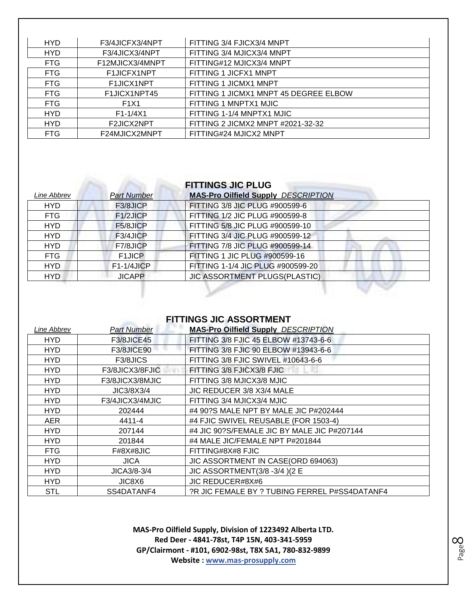| <b>HYD</b> | F3/4JICFX3/4NPT               | FITTING 3/4 FJICX3/4 MNPT             |
|------------|-------------------------------|---------------------------------------|
| <b>HYD</b> | F3/4JICX3/4NPT                | FITTING 3/4 MJICX3/4 MNPT             |
| <b>FTG</b> | F12MJICX3/4MNPT               | FITTING#12 MJICX3/4 MNPT              |
| <b>FTG</b> | F1JICFX1NPT                   | FITTING 1 JICFX1 MNPT                 |
| <b>FTG</b> | F1JICX1NPT                    | FITTING 1 JICMX1 MNPT                 |
| <b>FTG</b> | F1JICX1NPT45                  | FITTING 1 JICMX1 MNPT 45 DEGREE ELBOW |
| <b>FTG</b> | F <sub>1</sub> X <sub>1</sub> | FITTING 1 MNPTX1 MJIC                 |
| <b>HYD</b> | $F1 - 1/4X1$                  | FITTING 1-1/4 MNPTX1 MJIC             |
| <b>HYD</b> | F2JICX2NPT                    | FITTING 2 JICMX2 MNPT #2021-32-32     |
| <b>FTG</b> | F24MJICX2MNPT                 | FITTING#24 MJICX2 MNPT                |

## **FITTINGS JIC PLUG**

| Line Abbrev | <b>Part Number</b>  | <b>MAS-Pro Oilfield Supply DESCRIPTION</b> |
|-------------|---------------------|--------------------------------------------|
| <b>HYD</b>  | F3/8JICP            | FITTING 3/8 JIC PLUG #900599-6             |
| <b>FTG</b>  | F1/2JICP            | FITTING 1/2 JIC PLUG #900599-8             |
| <b>HYD</b>  | F5/8JICP            | FITTING 5/8 JIC PLUG #900599-10            |
| <b>HYD</b>  | F3/4JICP            | FITTING 3/4 JIC PLUG #900599-12            |
| <b>HYD</b>  | F7/8JICP            | FITTING 7/8 JIC PLUG #900599-14            |
| <b>FTG</b>  | F <sub>1</sub> JICP | FITTING 1 JIC PLUG #900599-16              |
| HYD.        | $F1-1/4JICP$        | FITTING 1-1/4 JIC PLUG #900599-20          |
| <b>HYD</b>  | <b>JICAPP</b>       | <b>JIC ASSORTMENT PLUGS(PLASTIC)</b>       |
|             |                     |                                            |

### **FITTINGS JIC ASSORTMENT**

| Line Abbrev | <b>Part Number</b> | <b>MAS-Pro Oilfield Supply DESCRIPTION</b>    |
|-------------|--------------------|-----------------------------------------------|
| HYD.        | F3/8JICE45         | FITTING 3/8 FJIC 45 ELBOW #13743-6-6          |
| <b>HYD</b>  | <b>F3/8JICE90</b>  | FITTING 3/8 FJIC 90 ELBOW #13943-6-6          |
| <b>HYD</b>  | F3/8JICS           | FITTING 3/8 FJIC SWIVEL #10643-6-6            |
| HYD.        | F3/8JICX3/8FJIC    | FITTING 3/8 FJICX3/8 FJIC                     |
| <b>HYD</b>  | F3/8JICX3/8MJIC    | FITTING 3/8 MJICX3/8 MJIC                     |
| HYD.        | JIC3/8X3/4         | JIC REDUCER 3/8 X3/4 MALE                     |
| HYD.        | F3/4JICX3/4MJIC    | FITTING 3/4 MJICX3/4 MJIC                     |
| HYD.        | 202444             | #4 90?S MALE NPT BY MALE JIC P#202444         |
| AER.        | 4411-4             | #4 FJIC SWIVEL REUSABLE (FOR 1503-4)          |
| <b>HYD</b>  | 207144             | #4 JIC 90?S/FEMALE JIC BY MALE JIC P#207144   |
| <b>HYD</b>  | 201844             | #4 MALE JIC/FEMALE NPT P#201844               |
| FTG         | F#8X#8JIC          | FITTING#8X#8 FJIC                             |
| HYD.        | <b>JICA</b>        | JIC ASSORTMENT IN CASE(ORD 694063)            |
| HYD.        | JICA3/8-3/4        | JIC ASSORTMENT(3/8 - 3/4) (2 E                |
| HYD.        | JIC8X6             | JIC REDUCER#8X#6                              |
| <b>STL</b>  | SS4DATANF4         | ?R JIC FEMALE BY ? TUBING FERREL P#SS4DATANF4 |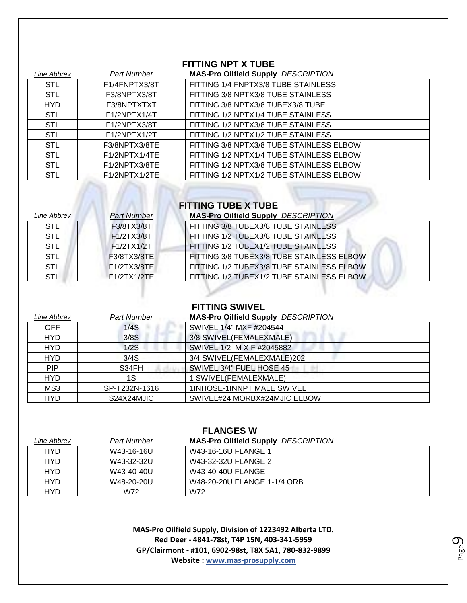### **FITTING NPT X TUBE**

| Line Abbrev | <b>Part Number</b> | <b>MAS-Pro Oilfield Supply DESCRIPTION</b> |
|-------------|--------------------|--------------------------------------------|
| <b>STL</b>  | F1/4FNPTX3/8T      | FITTING 1/4 FNPTX3/8 TUBE STAINLESS        |
| <b>STL</b>  | F3/8NPTX3/8T       | FITTING 3/8 NPTX3/8 TUBE STAINLESS         |
| <b>HYD</b>  | F3/8NPTXTXT        | FITTING 3/8 NPTX3/8 TUBEX3/8 TUBE          |
| <b>STL</b>  | F1/2NPTX1/4T       | FITTING 1/2 NPTX1/4 TUBE STAINLESS         |
| <b>STL</b>  | F1/2NPTX3/8T       | FITTING 1/2 NPTX3/8 TUBE STAINLESS         |
| <b>STL</b>  | F1/2NPTX1/2T       | FITTING 1/2 NPTX1/2 TUBE STAINLESS         |
| <b>STL</b>  | F3/8NPTX3/8TE      | FITTING 3/8 NPTX3/8 TUBE STAINLESS ELBOW   |
| <b>STL</b>  | F1/2NPTX1/4TE      | FITTING 1/2 NPTX1/4 TUBE STAINLESS ELBOW   |
| <b>STL</b>  | F1/2NPTX3/8TE      | FITTING 1/2 NPTX3/8 TUBE STAINLESS ELBOW   |
| <b>STL</b>  | F1/2NPTX1/2TE      | FITTING 1/2 NPTX1/2 TUBE STAINLESS ELBOW   |

# **FITTING TUBE X TUBE**

m

| Line Abbrev | <b>Part Number</b> | <b>MAS-Pro Oilfield Supply DESCRIPTION</b> |
|-------------|--------------------|--------------------------------------------|
| <b>STL</b>  | F3/8TX3/8T         | FITTING 3/8 TUBEX3/8 TUBE STAINLESS        |
| <b>STL</b>  | F1/2TX3/8T         | FITTING 1/2 TUBEX3/8 TUBE STAINLESS        |
| <b>STL</b>  | F1/2TX1/2T         | FITTING 1/2 TUBEX1/2 TUBE STAINLESS        |
| <b>STL</b>  | F3/8TX3/8TE        | FITTING 3/8 TUBEX3/8 TUBE STAINLESS ELBOW  |
| STL         | F1/2TX3/8TE        | FITTING 1/2 TUBEX3/8 TUBE STAINLESS ELBOW  |
| <b>STL</b>  | F1/2TX1/2TE        | FITTING 1/2 TUBEX1/2 TUBE STAINLESS ELBOW  |

### **FITTING SWIVEL**

| Line Abbrev | <b>Part Number</b> | <b>MAS-Pro Oilfield Supply DESCRIPTION</b> |
|-------------|--------------------|--------------------------------------------|
| <b>OFF</b>  | 1/4S               | SWIVEL 1/4" MXF #204544                    |
| <b>HYD</b>  | 3/8S               | 3/8 SWIVEL(FEMALEXMALE)                    |
| <b>HYD</b>  | 1/2S               | SWIVEL 1/2 M X F #2045882                  |
| <b>HYD</b>  | 3/4S               | 3/4 SWIVEL(FEMALEXMALE)202                 |
| <b>PIP</b>  | S34FH              | SWIVEL 3/4" FUEL HOSE 45                   |
| <b>HYD</b>  | 1S                 | 1 SWIVEL(FEMALEXMALE)                      |
| MS3         | SP-T232N-1616      | 1INHOSE-1INNPT MALE SWIVEL                 |
| <b>HYD</b>  | S24X24MJIC         | SWIVEL#24 MORBX#24MJIC ELBOW               |

| <b>FLANGES W</b> |             |                                            |
|------------------|-------------|--------------------------------------------|
| Line Abbrev      | Part Number | <b>MAS-Pro Oilfield Supply DESCRIPTION</b> |
| <b>HYD</b>       | W43-16-16U  | W43-16-16U FLANGE 1                        |
| <b>HYD</b>       | W43-32-32U  | W43-32-32U FLANGE 2                        |
| <b>HYD</b>       | W43-40-40U  | W43-40-40U FLANGE                          |
| <b>HYD</b>       | W48-20-20U  | W48-20-20U FLANGE 1-1/4 ORB                |
| <b>HYD</b>       | W72         | W72                                        |

**MAS-Pro Oilfield Supply, Division of 1223492 Alberta LTD. Red Deer - 4841-78st, T4P 15N, 403-341-5959 GP/Clairmont - #101, 6902-98st, T8X 5A1, 780-832-9899 Website : www.mas-prosupply.com**

Page  $\mathcal O$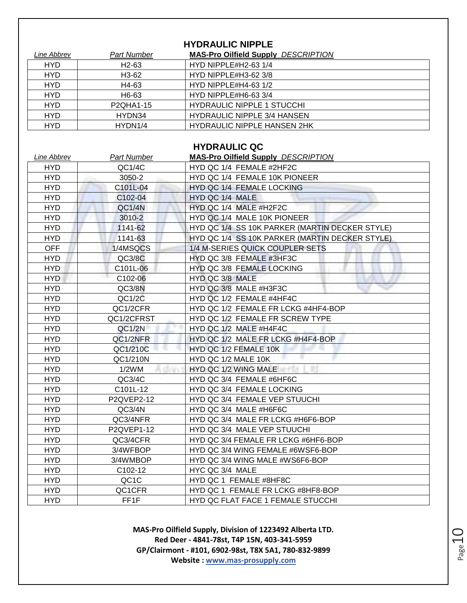### **HYDRAULIC NIPPLE**

| Line Abbrev | <b>Part Number</b>                  | <b>MAS-Pro Oilfield Supply DESCRIPTION</b> |
|-------------|-------------------------------------|--------------------------------------------|
| <b>HYD</b>  | H <sub>2</sub> -63                  | HYD NIPPLE#H2-63 1/4                       |
| <b>HYD</b>  | H <sub>3</sub> -62                  | HYD NIPPLE#H3-62 3/8                       |
| <b>HYD</b>  | H4-63                               | HYD NIPPLE#H4-63 $1/2$                     |
| <b>HYD</b>  | H6-63                               | HYD NIPPLE#H6-63 3/4                       |
| <b>HYD</b>  | P <sub>2</sub> QHA <sub>1</sub> -15 | <b>HYDRAULIC NIPPLE 1 STUCCHI</b>          |
| <b>HYD</b>  | HYDN34                              | <b>HYDRAULIC NIPPLE 3/4 HANSEN</b>         |
| <b>HYD</b>  | HYDN1/4                             | <b>HYDRAULIC NIPPLE HANSEN 2HK</b>         |

### **HYDRAULIC QC**

| Line Abbrev | <b>Part Number</b> | <b>MAS-Pro Oilfield Supply DESCRIPTION</b>     |
|-------------|--------------------|------------------------------------------------|
| <b>HYD</b>  | QC1/4C             | HYD QC 1/4 FEMALE #2HF2C                       |
| <b>HYD</b>  | 3050-2             | HYD QC 1/4 FEMALE 10K PIONEER                  |
| <b>HYD</b>  | C101L-04           | HYD QC 1/4 FEMALE LOCKING                      |
| <b>HYD</b>  | C102-04            | HYD QC 1/4 MALE                                |
| <b>HYD</b>  | QC1/4N             | HYD QC 1/4 MALE #H2F2C                         |
| <b>HYD</b>  | 3010-2             | HYD QC 1/4 MALE 10K PIONEER                    |
| <b>HYD</b>  | 1141-62            | HYD QC 1/4 SS 10K PARKER (MARTIN DECKER STYLE) |
| <b>HYD</b>  | 1141-63            | HYD QC 1/4 SS 10K PARKER (MARTIN DECKER STYLE) |
| <b>OFF</b>  | 1/4MSQCS           | 1/4 M-SERIES QUICK COUPLER SETS                |
| <b>HYD</b>  | QC3/8C             | HYD QC 3/8 FEMALE #3HF3C                       |
| <b>HYD</b>  | C101L-06           | HYD QC 3/8 FEMALE LOCKING                      |
| <b>HYD</b>  | C102-06            | HYD QC 3/8 MALE                                |
| <b>HYD</b>  | QC3/8N             | HYD QC 3/8 MALE #H3F3C                         |
| <b>HYD</b>  | QC1/2C             | HYD QC 1/2 FEMALE #4HF4C                       |
| <b>HYD</b>  | QC1/2CFR           | HYD QC 1/2 FEMALE FR LCKG #4HF4-BOP            |
| <b>HYD</b>  | QC1/2CFRST         | HYD QC 1/2 FEMALE FR SCREW TYPE                |
| <b>HYD</b>  | QC1/2N             | HYD QC 1/2 MALE #H4F4C                         |
| <b>HYD</b>  | QC1/2NFR           | HYD QC 1/2 MALE FR LCKG #H4F4-BOP              |
| <b>HYD</b>  | QC1/210C           | HYD QC 1/2 FEMALE 10K                          |
| <b>HYD</b>  | QC1/210N           | HYD QC 1/2 MALE 10K                            |
| <b>HYD</b>  | 1/2WM              | HYD QC 1/2 WING MALE                           |
| <b>HYD</b>  | QC3/4C             | HYD QC 3/4 FEMALE #6HF6C                       |
| <b>HYD</b>  | C101L-12           | HYD QC 3/4 FEMALE LOCKING                      |
| <b>HYD</b>  | P2QVEP2-12         | HYD QC 3/4 FEMALE VEP STUUCHI                  |
| <b>HYD</b>  | QC3/4N             | HYD QC 3/4 MALE #H6F6C                         |
| <b>HYD</b>  | QC3/4NFR           | HYD QC 3/4 MALE FR LCKG #H6F6-BOP              |
| <b>HYD</b>  | P2QVEP1-12         | HYD QC 3/4 MALE VEP STUUCHI                    |
| <b>HYD</b>  | QC3/4CFR           | HYD QC 3/4 FEMALE FR LCKG #6HF6-BOP            |
| <b>HYD</b>  | 3/4WFBOP           | HYD QC 3/4 WING FEMALE #6WSF6-BOP              |
| <b>HYD</b>  | 3/4WMBOP           | HYD QC 3/4 WING MALE #WS6F6-BOP                |
| <b>HYD</b>  | C102-12            | HYC QC 3/4 MALE                                |
| <b>HYD</b>  | QC <sub>1</sub> C  | HYD QC 1 FEMALE #8HF8C                         |
| <b>HYD</b>  | QC1CFR             | HYD QC 1 FEMALE FR LCKG #8HF8-BOP              |
| <b>HYD</b>  | FF1F               | HYD QC FLAT FACE 1 FEMALE STUCCHI              |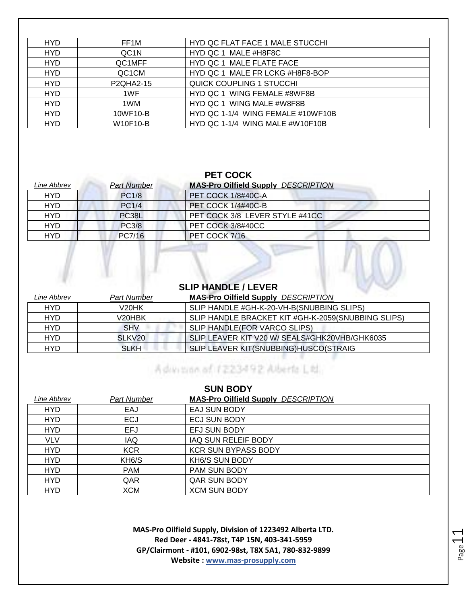| <b>HYD</b> | FF1M              | HYD QC FLAT FACE 1 MALE STUCCHI   |
|------------|-------------------|-----------------------------------|
| <b>HYD</b> | QC <sub>1</sub> N | HYD QC 1 MALE #H8F8C              |
| <b>HYD</b> | QC1MFF            | HYD QC 1 MALE FLATE FACE          |
| <b>HYD</b> | QC1CM             | HYD QC 1 MALE FR LCKG #H8F8-BOP   |
| <b>HYD</b> | <b>P2QHA2-15</b>  | <b>QUICK COUPLING 1 STUCCHI</b>   |
| <b>HYD</b> | 1WF               | HYD QC 1 WING FEMALE #8WF8B       |
| <b>HYD</b> | 1WM               | HYD QC 1 WING MALE #W8F8B         |
| <b>HYD</b> | 10WF10-B          | HYD QC 1-1/4 WING FEMALE #10WF10B |
| <b>HYD</b> | W10F10-B          | HYD QC 1-1/4 WING MALE #W10F10B   |

### **PET COCK**

| Line Abbrev | <b>Part Number</b> | <b>MAS-Pro Oilfield Supply DESCRIPTION</b> |
|-------------|--------------------|--------------------------------------------|
| <b>HYD</b>  | <b>PC1/8</b>       | PET COCK 1/8#40C-A                         |
| <b>HYD</b>  | <b>PC1/4</b>       | <b>PET COCK 1/4#40C-B</b>                  |
| <b>HYD</b>  | PC38L              | PET COCK 3/8 LEVER STYLE #41CC             |
| <b>HYD</b>  | <b>PC3/8</b>       | PET COCK 3/8#40CC                          |
| HYD         | PC7/16             | PET COCK 7/16                              |

### **SLIP HANDLE / LEVER**

 $\sqrt{2}$ 

 $\mathcal{L}$ 

| Line Abbrev | Part Number         | <b>MAS-Pro Oilfield Supply DESCRIPTION</b>         |
|-------------|---------------------|----------------------------------------------------|
| <b>HYD</b>  | V20HK               | SLIP HANDLE #GH-K-20-VH-B(SNUBBING SLIPS)          |
| HYD         | V <sub>20</sub> HBK | SLIP HANDLE BRACKET KIT #GH-K-2059(SNUBBING SLIPS) |
| HYD         | <b>SHV</b>          | SLIP HANDLE(FOR VARCO SLIPS)                       |
| HYD         | SLKV <sub>20</sub>  | SLIP LEAVER KIT V20 W/ SEALS#GHK20VHB/GHK6035      |
| <b>HYD</b>  | <b>SLKH</b>         | SLIP LEAVER KIT(SNUBBING)HUSCO(STRAIG              |

# Administration of 1223492 Alberta Ltd.

| <b>SUN BODY</b> |                    |                                            |
|-----------------|--------------------|--------------------------------------------|
| Line Abbrev     | <b>Part Number</b> | <b>MAS-Pro Oilfield Supply DESCRIPTION</b> |
| <b>HYD</b>      | EAJ                | EAJ SUN BODY                               |
| <b>HYD</b>      | <b>ECJ</b>         | <b>ECJ SUN BODY</b>                        |
| <b>HYD</b>      | EFJ                | EFJ SUN BODY                               |
| <b>VLV</b>      | <b>IAQ</b>         | IAQ SUN RELEIF BODY                        |
| <b>HYD</b>      | <b>KCR</b>         | <b>KCR SUN BYPASS BODY</b>                 |
| <b>HYD</b>      | KH <sub>6</sub> /S | KH6/S SUN BODY                             |
| <b>HYD</b>      | <b>PAM</b>         | <b>PAM SUN BODY</b>                        |
| <b>HYD</b>      | QAR                | <b>QAR SUN BODY</b>                        |
| <b>HYD</b>      | XCM                | <b>XCM SUN BODY</b>                        |

**MAS-Pro Oilfield Supply, Division of 1223492 Alberta LTD. Red Deer - 4841-78st, T4P 15N, 403-341-5959 GP/Clairmont - #101, 6902-98st, T8X 5A1, 780-832-9899 Website : www.mas-prosupply.com**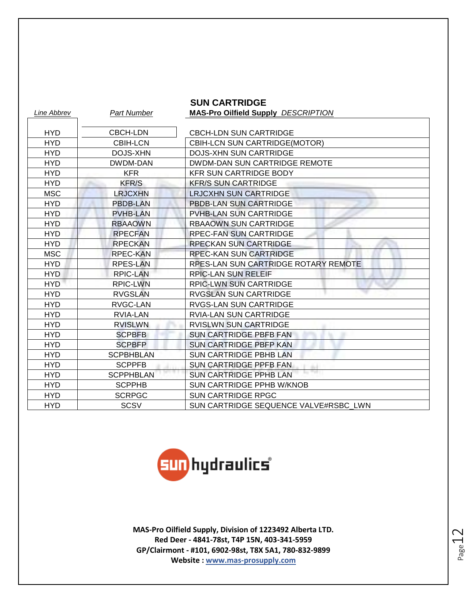|             |                    | <b>SUN CARTRIDGE</b>                       |
|-------------|--------------------|--------------------------------------------|
| Line Abbrev | <b>Part Number</b> | <b>MAS-Pro Oilfield Supply DESCRIPTION</b> |
|             |                    |                                            |
| <b>HYD</b>  | <b>CBCH-LDN</b>    | <b>CBCH-LDN SUN CARTRIDGE</b>              |
| <b>HYD</b>  | <b>CBIH-LCN</b>    | CBIH-LCN SUN CARTRIDGE(MOTOR)              |
| <b>HYD</b>  | DOJS-XHN           | <b>DOJS-XHN SUN CARTRIDGE</b>              |
| <b>HYD</b>  | DWDM-DAN           | DWDM-DAN SUN CARTRIDGE REMOTE              |
| <b>HYD</b>  | <b>KFR</b>         | <b>KFR SUN CARTRIDGE BODY</b>              |
| <b>HYD</b>  | <b>KFR/S</b>       | <b>KFR/S SUN CARTRIDGE</b>                 |
| <b>MSC</b>  | <b>LRJCXHN</b>     | <b>LRJCXHN SUN CARTRIDGE</b>               |
| <b>HYD</b>  | <b>PBDB-LAN</b>    | <b>PBDB-LAN SUN CARTRIDGE</b>              |
| <b>HYD</b>  | <b>PVHB-LAN</b>    | PVHB-LAN SUN CARTRIDGE                     |
| <b>HYD</b>  | <b>RBAAOWN</b>     | <b>RBAAOWN SUN CARTRIDGE</b>               |
| <b>HYD</b>  | <b>RPECFAN</b>     | RPEC-FAN SUN CARTRIDGE                     |
| <b>HYD</b>  | <b>RPECKAN</b>     | <b>RPECKAN SUN CARTRIDGE</b>               |
| <b>MSC</b>  | <b>RPEC-KAN</b>    | <b>RPEC-KAN SUN CARTRIDGE</b>              |
| <b>HYD</b>  | <b>RPES-LAN</b>    | RPES-LAN SUN CARTRIDGE ROTARY REMOTE       |
| <b>HYD</b>  | <b>RPIC-LAN</b>    | <b>RPIC-LAN SUN RELEIF</b>                 |
| <b>HYD</b>  | <b>RPIC-LWN</b>    | <b>RPIC-LWN SUN CARTRIDGE</b>              |
| <b>HYD</b>  | <b>RVGSLAN</b>     | <b>RVGSLAN SUN CARTRIDGE</b>               |
| <b>HYD</b>  | RVGC-LAN           | RVGS-LAN SUN CARTRIDGE                     |
| <b>HYD</b>  | <b>RVIA-LAN</b>    | <b>RVIA-LAN SUN CARTRIDGE</b>              |
| <b>HYD</b>  | <b>RVISLWN</b>     | <b>RVISLWN SUN CARTRIDGE</b>               |
| <b>HYD</b>  | <b>SCPBFB</b>      | <b>SUN CARTRIDGE PBFB FAN</b>              |
| <b>HYD</b>  | <b>SCPBFP</b>      | <b>SUN CARTRIDGE PBFP KAN</b>              |
| <b>HYD</b>  | <b>SCPBHBLAN</b>   | <b>SUN CARTRIDGE PBHB LAN</b>              |
| <b>HYD</b>  | <b>SCPPFB</b>      | <b>SUN CARTRIDGE PPFB FAN</b>              |
| <b>HYD</b>  | <b>SCPPHBLAN</b>   | <b>SUN CARTRIDGE PPHB LAN</b>              |
| <b>HYD</b>  | <b>SCPPHB</b>      | SUN CARTRIDGE PPHB W/KNOB                  |
| <b>HYD</b>  | <b>SCRPGC</b>      | <b>SUN CARTRIDGE RPGC</b>                  |
| <b>HYD</b>  | <b>SCSV</b>        | SUN CARTRIDGE SEQUENCE VALVE#RSBC LWN      |

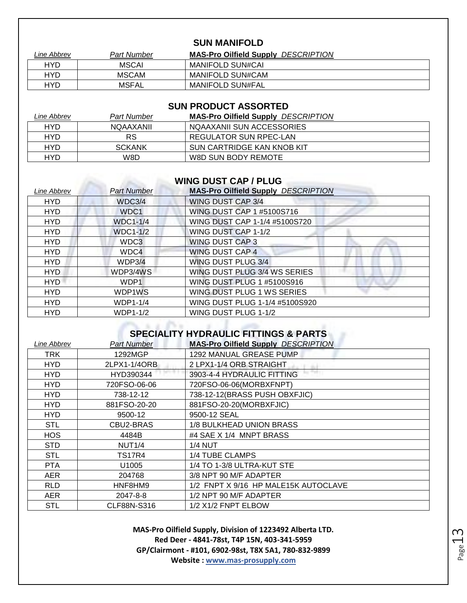### **SUN MANIFOLD**

| Line Abbrev | Part Number  | <b>MAS-Pro Oilfield Supply DESCRIPTION</b> |
|-------------|--------------|--------------------------------------------|
| HYD         | <b>MSCAI</b> | MANIFOLD SUN#CAI                           |
| HYD         | <b>MSCAM</b> | MANIFOLD SUN#CAM                           |
| HYD         | MSFAL        | MANIFOLD SUN#FAL                           |

### **SUN PRODUCT ASSORTED**

| Line Abbrev | Part Number      | <b>MAS-Pro Oilfield Supply DESCRIPTION</b> |
|-------------|------------------|--------------------------------------------|
| <b>HYD</b>  | <b>NQAAXANII</b> | NOAAXANII SUN ACCESSORIES                  |
| HYD         | RS               | REGULATOR SUN RPEC-LAN                     |
| HYD         | <b>SCKANK</b>    | SUN CARTRIDGE KAN KNOB KIT                 |
| HYD         | W8D              | W8D SUN BODY REMOTE                        |

### **WING DUST CAP / PLUG**

| Line Abbrev | <b>Part Number</b> | <b>MAS-Pro Oilfield Supply DESCRIPTION</b> |
|-------------|--------------------|--------------------------------------------|
| <b>HYD</b>  | WDC3/4             | <b>WING DUST CAP 3/4</b>                   |
| <b>HYD</b>  | WDC1               | WING DUST CAP 1 #5100S716                  |
| <b>HYD</b>  | <b>WDC1-1/4</b>    | WING DUST CAP 1-1/4 #5100S720              |
| <b>HYD</b>  | <b>WDC1-1/2</b>    | WING DUST CAP 1-1/2                        |
| <b>HYD</b>  | WDC3               | <b>WING DUST CAP 3</b>                     |
| <b>HYD</b>  | WDC4               | <b>WING DUST CAP 4</b>                     |
| <b>HYD</b>  | WDP3/4             | <b>WING DUST PLUG 3/4</b>                  |
| <b>HYD</b>  | WDP3/4WS           | WING DUST PLUG 3/4 WS SERIES               |
| <b>HYD</b>  | WDP1               | WING DUST PLUG 1 #5100S916                 |
| <b>HYD</b>  | WDP1WS             | WING DUST PLUG 1 WS SERIES                 |
| <b>HYD</b>  | <b>WDP1-1/4</b>    | WING DUST PLUG 1-1/4 #5100S920             |
| <b>HYD</b>  | <b>WDP1-1/2</b>    | WING DUST PLUG 1-1/2                       |

### **SPECIALITY HYDRAULIC FITTINGS & PARTS**

| Line Abbrev | Part Number       | <b>MAS-Pro Oilfield Supply DESCRIPTION</b> |
|-------------|-------------------|--------------------------------------------|
| TRK         | 1292MGP           | 1292 MANUAL GREASE PUMP                    |
| HYD         | 2LPX1-1/4ORB      | 2 LPX1-1/4 ORB STRAIGHT                    |
| <b>HYD</b>  | HYD390344         | 3903-4-4 HYDRAULIC FITTING                 |
| <b>HYD</b>  | 720FSO-06-06      | 720FSO-06-06(MORBXFNPT)                    |
| <b>HYD</b>  | 738-12-12         | 738-12-12(BRASS PUSH OBXFJIC)              |
| <b>HYD</b>  | 881FSO-20-20      | 881FSO-20-20(MORBXFJIC)                    |
| <b>HYD</b>  | 9500-12           | 9500-12 SEAL                               |
| <b>STL</b>  | CBU2-BRAS         | 1/8 BULKHEAD UNION BRASS                   |
| <b>HOS</b>  | 4484B             | #4 SAE X 1/4 MNPT BRASS                    |
| <b>STD</b>  | <b>NUT1/4</b>     | $1/4$ NUT                                  |
| <b>STL</b>  | <b>TS17R4</b>     | 1/4 TUBE CLAMPS                            |
| <b>PTA</b>  | U <sub>1005</sub> | 1/4 TO 1-3/8 ULTRA-KUT STE                 |
| <b>AER</b>  | 204768            | 3/8 NPT 90 M/F ADAPTER                     |
| RLD.        | HNF8HM9           | 1/2 FNPT X 9/16 HP MALE15K AUTOCLAVE       |
| <b>AER</b>  | 2047-8-8          | 1/2 NPT 90 M/F ADAPTER                     |
| <b>STL</b>  | CLF88N-S316       | 1/2 X1/2 FNPT ELBOW                        |

**MAS-Pro Oilfield Supply, Division of 1223492 Alberta LTD. Red Deer - 4841-78st, T4P 15N, 403-341-5959 GP/Clairmont - #101, 6902-98st, T8X 5A1, 780-832-9899 Website : www.mas-prosupply.com**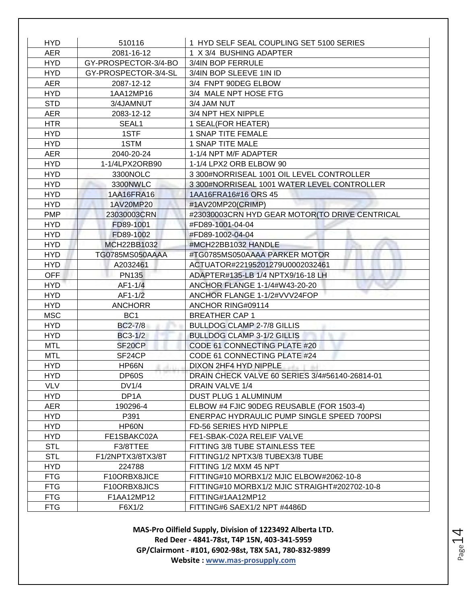| <b>HYD</b> | 510116               | 1 HYD SELF SEAL COUPLING SET 5100 SERIES       |
|------------|----------------------|------------------------------------------------|
| <b>AER</b> | 2081-16-12           | 1 X 3/4 BUSHING ADAPTER                        |
| <b>HYD</b> | GY-PROSPECTOR-3/4-BO | 3/4IN BOP FERRULE                              |
| <b>HYD</b> | GY-PROSPECTOR-3/4-SL | 3/4IN BOP SLEEVE 1IN ID                        |
| <b>AER</b> | 2087-12-12           | 3/4 FNPT 90DEG ELBOW                           |
| <b>HYD</b> | 1AA12MP16            | 3/4 MALE NPT HOSE FTG                          |
| <b>STD</b> | 3/4JAMNUT            | 3/4 JAM NUT                                    |
| <b>AER</b> | 2083-12-12           | 3/4 NPT HEX NIPPLE                             |
| <b>HTR</b> | SEAL1                | 1 SEAL(FOR HEATER)                             |
| <b>HYD</b> | 1STF                 | 1 SNAP TITE FEMALE                             |
| <b>HYD</b> | 1STM                 | 1 SNAP TITE MALE                               |
| <b>AER</b> | 2040-20-24           | 1-1/4 NPT M/F ADAPTER                          |
| <b>HYD</b> | 1-1/4LPX2ORB90       | 1-1/4 LPX2 ORB ELBOW 90                        |
| <b>HYD</b> | 3300NOLC             | 3 300#NORRISEAL 1001 OIL LEVEL CONTROLLER      |
| <b>HYD</b> | 3300NWLC             | 3 300#NORRISEAL 1001 WATER LEVEL CONTROLLER    |
| <b>HYD</b> | 1AA16FRA16           | 1AA16FRA16#16 ORS 45                           |
| <b>HYD</b> | 1AV20MP20            | #1AV20MP20(CRIMP)                              |
| <b>PMP</b> | 23030003CRN          | #23030003CRN HYD GEAR MOTOR(TO DRIVE CENTRICAL |
| <b>HYD</b> | FD89-1001            | #FD89-1001-04-04                               |
| <b>HYD</b> | FD89-1002            | #FD89-1002-04-04                               |
| <b>HYD</b> | MCH22BB1032          | #MCH22BB1032 HANDLE                            |
| <b>HYD</b> | TG0785MS050AAAA      | #TG0785MS050AAAA PARKER MOTOR                  |
| <b>HYD</b> | A2032461             | ACTUATOR#22195201279U0002032461                |
| <b>OFF</b> | <b>PN135</b>         | ADAPTER#135-LB 1/4 NPTX9/16-18 LH              |
| <b>HYD</b> | AF1-1/4              | ANCHOR FLANGE 1-1/4#W43-20-20                  |
| <b>HYD</b> | $AF1-1/2$            | ANCHOR FLANGE 1-1/2#VVV24FOP                   |
| <b>HYD</b> | <b>ANCHORR</b>       | ANCHOR RING#09114                              |
| <b>MSC</b> | BC <sub>1</sub>      | <b>BREATHER CAP 1</b>                          |
| <b>HYD</b> | <b>BC2-7/8</b>       | <b>BULLDOG CLAMP 2-7/8 GILLIS</b>              |
| <b>HYD</b> | BC3-1/2              | <b>BULLDOG CLAMP 3-1/2 GILLIS</b>              |
| <b>MTL</b> | SF <sub>20</sub> CP  | CODE 61 CONNECTING PLATE #20                   |
| <b>MTL</b> | SF24CP               | CODE 61 CONNECTING PLATE #24                   |
| <b>HYD</b> | HP66N                | DIXON 2HF4 HYD NIPPLE<br>and a 11 that         |
| HYD.       | DP60S                | DRAIN CHECK VALVE 60 SERIES 3/4#56140-26814-01 |
| <b>VLV</b> | DV1/4                | DRAIN VALVE 1/4                                |
| <b>HYD</b> | DP <sub>1</sub> A    | <b>DUST PLUG 1 ALUMINUM</b>                    |
| AER        | 190296-4             | ELBOW #4 FJIC 90DEG REUSABLE (FOR 1503-4)      |
| <b>HYD</b> | P391                 | ENERPAC HYDRAULIC PUMP SINGLE SPEED 700PSI     |
| <b>HYD</b> | HP60N                | FD-56 SERIES HYD NIPPLE                        |
| <b>HYD</b> | FE1SBAKC02A          | FE1-SBAK-C02A RELEIF VALVE                     |
| <b>STL</b> | F3/8TTEE             | FITTING 3/8 TUBE STAINLESS TEE                 |
| <b>STL</b> | F1/2NPTX3/8TX3/8T    | FITTING1/2 NPTX3/8 TUBEX3/8 TUBE               |
| <b>HYD</b> | 224788               | FITTING 1/2 MXM 45 NPT                         |
| <b>FTG</b> | F10ORBX8JICE         | FITTING#10 MORBX1/2 MJIC ELBOW#2062-10-8       |
| <b>FTG</b> | F10ORBX8JICS         | FITTING#10 MORBX1/2 MJIC STRAIGHT#202702-10-8  |
| <b>FTG</b> | F1AA12MP12           | FITTING#1AA12MP12                              |
| <b>FTG</b> | F6X1/2               | FITTING#6 SAEX1/2 NPT #4486D                   |

Page 14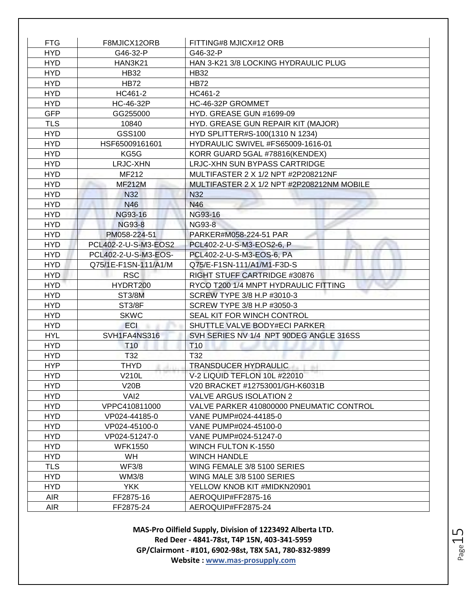| <b>FTG</b> | F8MJICX12ORB         | FITTING#8 MJICX#12 ORB                     |
|------------|----------------------|--------------------------------------------|
| <b>HYD</b> | G46-32-P             | G46-32-P                                   |
| <b>HYD</b> | <b>HAN3K21</b>       | HAN 3-K21 3/8 LOCKING HYDRAULIC PLUG       |
| <b>HYD</b> | <b>HB32</b>          | <b>HB32</b>                                |
| <b>HYD</b> | <b>HB72</b>          | <b>HB72</b>                                |
| <b>HYD</b> | HC461-2              | HC461-2                                    |
| <b>HYD</b> | HC-46-32P            | HC-46-32P GROMMET                          |
| <b>GFP</b> | GG255000             | HYD. GREASE GUN #1699-09                   |
| <b>TLS</b> | 10840                | HYD. GREASE GUN REPAIR KIT (MAJOR)         |
| <b>HYD</b> | GSS100               | HYD SPLITTER#S-100(1310 N 1234)            |
| <b>HYD</b> | HSF65009161601       | HYDRAULIC SWIVEL #FS65009-1616-01          |
| <b>HYD</b> | KG5G                 | KORR GUARD 5GAL #78816(KENDEX)             |
| <b>HYD</b> | <b>LRJC-XHN</b>      | LRJC-XHN SUN BYPASS CARTRIDGE              |
| <b>HYD</b> | MF212                | MULTIFASTER 2 X 1/2 NPT #2P208212NF        |
| <b>HYD</b> | <b>MF212M</b>        | MULTIFASTER 2 X 1/2 NPT #2P208212NM MOBILE |
| <b>HYD</b> | N32                  | N32                                        |
| <b>HYD</b> | <b>N46</b>           | N46                                        |
| <b>HYD</b> | NG93-16              | NG93-16                                    |
| <b>HYD</b> | <b>NG93-8</b>        | <b>NG93-8</b>                              |
| <b>HYD</b> | PM058-224-51         | PARKER#M058-224-51 PAR                     |
| <b>HYD</b> | PCL402-2-U-S-M3-EOS2 | PCL402-2-U-S-M3-EOS2-6, P                  |
| <b>HYD</b> | PCL402-2-U-S-M3-EOS- | PCL402-2-U-S-M3-EOS-6, PA                  |
| <b>HYD</b> | Q75/1E-F1SN-111/A1/M | Q75/E-F1SN-111/A1/M1-F3D-S                 |
| <b>HYD</b> | <b>RSC</b>           | RIGHT STUFF CARTRIDGE #30876               |
| <b>HYD</b> | HYDRT200             | RYCO T200 1/4 MNPT HYDRAULIC FITTING       |
| <b>HYD</b> | <b>ST3/8M</b>        | SCREW TYPE 3/8 H.P #3010-3                 |
| <b>HYD</b> | <b>ST3/8F</b>        | SCREW TYPE 3/8 H.P #3050-3                 |
| <b>HYD</b> | <b>SKWC</b>          | SEAL KIT FOR WINCH CONTROL                 |
| <b>HYD</b> | <b>ECI</b>           | SHUTTLE VALVE BODY#ECI PARKER              |
| <b>HYL</b> | SVH1FA4NS316         | SVH SERIES NV 1/4 NPT 90DEG ANGLE 316SS    |
| <b>HYD</b> | <b>T10</b>           | T <sub>10</sub>                            |
| <b>HYD</b> | T32                  | T32                                        |
| <b>HYP</b> | THYD                 | TRANSDUCER HYDRAULIC                       |
| <b>HYD</b> | V210L                | V-2 LIQUID TEFLON 10L #22010               |
| <b>HYD</b> | V20B                 | V20 BRACKET #12753001/GH-K6031B            |
| <b>HYD</b> | VAI <sub>2</sub>     | <b>VALVE ARGUS ISOLATION 2</b>             |
| <b>HYD</b> | VPPC410811000        | VALVE PARKER 410800000 PNEUMATIC CONTROL   |
| <b>HYD</b> | VP024-44185-0        | VANE PUMP#024-44185-0                      |
| <b>HYD</b> | VP024-45100-0        | VANE PUMP#024-45100-0                      |
| <b>HYD</b> | VP024-51247-0        | VANE PUMP#024-51247-0                      |
| <b>HYD</b> | <b>WFK1550</b>       | WINCH FULTON K-1550                        |
| HYD.       | <b>WH</b>            | <b>WINCH HANDLE</b>                        |
| <b>TLS</b> | <b>WF3/8</b>         | WING FEMALE 3/8 5100 SERIES                |
| <b>HYD</b> | WM3/8                | WING MALE 3/8 5100 SERIES                  |
| <b>HYD</b> | <b>YKK</b>           | YELLOW KNOB KIT #MIDKN20901                |
| <b>AIR</b> | FF2875-16            | AEROQUIP#FF2875-16                         |
| <b>AIR</b> | FF2875-24            | AEROQUIP#FF2875-24                         |

Page15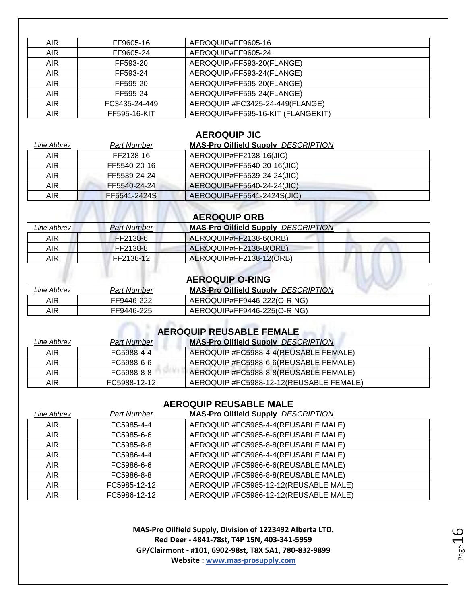| <b>AIR</b> | FF9605-16     | AEROQUIP#FF9605-16                |
|------------|---------------|-----------------------------------|
| AIR.       | FF9605-24     | AEROQUIP#FF9605-24                |
| AIR.       | FF593-20      | AEROQUIP#FF593-20(FLANGE)         |
| <b>AIR</b> | FF593-24      | AEROQUIP#FF593-24(FLANGE)         |
| AIR.       | FF595-20      | AEROQUIP#FF595-20(FLANGE)         |
| <b>AIR</b> | FF595-24      | AEROQUIP#FF595-24(FLANGE)         |
| AIR.       | FC3435-24-449 | AEROQUIP #FC3425-24-449(FLANGE)   |
| <b>AIR</b> | FF595-16-KIT  | AEROQUIP#FF595-16-KIT (FLANGEKIT) |

### **AEROQUIP JIC**

| Part Number  | <b>MAS-Pro Oilfield Supply DESCRIPTION</b> |
|--------------|--------------------------------------------|
| FF2138-16    | AEROQUIP#FF2138-16(JIC)                    |
| FF5540-20-16 | AEROQUIP#FF5540-20-16(JIC)                 |
| FF5539-24-24 | AEROQUIP#FF5539-24-24(JIC)                 |
| FF5540-24-24 | AEROQUIP#FF5540-24-24(JIC)                 |
| FF5541-2424S | AEROQUIP#FF5541-2424S(JIC)                 |
|              |                                            |

# **AEROQUIP ORB**

| Line Abbrev | <b>Part Number</b> | <b>MAS-Pro Oilfield Supply DESCRIPTION</b> |
|-------------|--------------------|--------------------------------------------|
| <b>AIR</b>  | FF2138-6           | AEROQUIP#FF2138-6(ORB)                     |
| <b>AIR</b>  | FF2138-8           | AEROQUIP#FF2138-8(ORB)                     |
| AIR         | FF2138-12          | AEROQUIP#FF2138-12(ORB)                    |
|             |                    | <b>AEROQUIP O-RING</b>                     |

| Line Abbrev | Part Number | <b>MAS-Pro Oilfield Supply DESCRIPTION</b> |
|-------------|-------------|--------------------------------------------|
| AIR         | FF9446-222  | AEROQUIP#FF9446-222(O-RING)                |
| AIR         | FF9446-225  | AEROQUIP#FF9446-225(O-RING)                |

## **AEROQUIP REUSABLE FEMALE**

| Line Abbrev | <b>Part Number</b> | <b>MAS-Pro Oilfield Supply DESCRIPTION</b> |
|-------------|--------------------|--------------------------------------------|
| <b>AIR</b>  | FC5988-4-4         | AEROQUIP #FC5988-4-4(REUSABLE FEMALE)      |
| AIR         | FC5988-6-6         | AEROQUIP #FC5988-6-6(REUSABLE FEMALE)      |
| AIR         | FC5988-8-8         | AEROQUIP #FC5988-8-8(REUSABLE FEMALE)      |
| AIR         | FC5988-12-12       | AEROQUIP #FC5988-12-12(REUSABLE FEMALE)    |

### **AEROQUIP REUSABLE MALE**

| Line Abbrev | <b>Part Number</b> | <b>MAS-Pro Oilfield Supply DESCRIPTION</b> |
|-------------|--------------------|--------------------------------------------|
| <b>AIR</b>  | FC5985-4-4         | AEROQUIP #FC5985-4-4(REUSABLE MALE)        |
| <b>AIR</b>  | FC5985-6-6         | AEROQUIP #FC5985-6-6(REUSABLE MALE)        |
| <b>AIR</b>  | FC5985-8-8         | AEROQUIP #FC5985-8-8(REUSABLE MALE)        |
| <b>AIR</b>  | FC5986-4-4         | AEROQUIP #FC5986-4-4(REUSABLE MALE)        |
| <b>AIR</b>  | FC5986-6-6         | AEROQUIP #FC5986-6-6(REUSABLE MALE)        |
| <b>AIR</b>  | FC5986-8-8         | AEROQUIP #FC5986-8-8(REUSABLE MALE)        |
| <b>AIR</b>  | FC5985-12-12       | AEROQUIP #FC5985-12-12(REUSABLE MALE)      |
| <b>AIR</b>  | FC5986-12-12       | AEROQUIP #FC5986-12-12(REUSABLE MALE)      |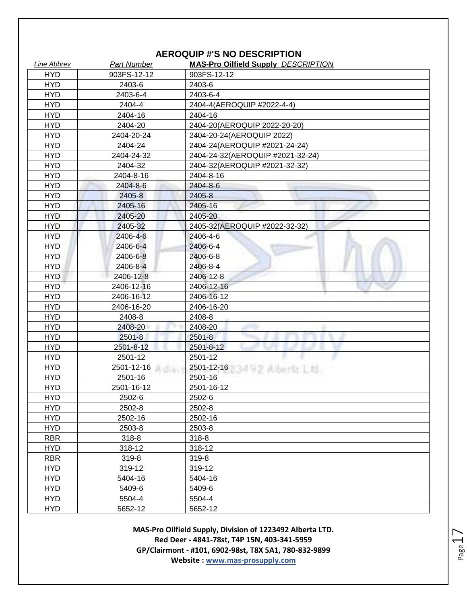### **AEROQUIP #'S NO DESCRIPTION**

| <b>Line Abbrev</b> | <b>Part Number</b>      | <b>MAS-Pro Oilfield Supply DESCRIPTION</b> |
|--------------------|-------------------------|--------------------------------------------|
| <b>HYD</b>         | 903FS-12-12             | 903FS-12-12                                |
| <b>HYD</b>         | 2403-6                  | 2403-6                                     |
| <b>HYD</b>         | 2403-6-4                | 2403-6-4                                   |
| <b>HYD</b>         | 2404-4                  | 2404-4(AEROQUIP #2022-4-4)                 |
| <b>HYD</b>         | 2404-16                 | 2404-16                                    |
| <b>HYD</b>         | 2404-20                 | 2404-20(AEROQUIP 2022-20-20)               |
| <b>HYD</b>         | 2404-20-24              | 2404-20-24(AEROQUIP 2022)                  |
| <b>HYD</b>         | 2404-24                 | 2404-24(AEROQUIP #2021-24-24)              |
| <b>HYD</b>         | 2404-24-32              | 2404-24-32(AEROQUIP #2021-32-24)           |
| <b>HYD</b>         | 2404-32                 | 2404-32(AEROQUIP #2021-32-32)              |
| <b>HYD</b>         | 2404-8-16               | 2404-8-16                                  |
| <b>HYD</b>         | 2404-8-6                | 2404-8-6                                   |
| <b>HYD</b>         | 2405-8                  | 2405-8                                     |
| <b>HYD</b>         | 2405-16                 | 2405-16                                    |
| <b>HYD</b>         | 2405-20                 | 2405-20                                    |
| <b>HYD</b>         | 2405-32                 | 2405-32(AEROQUIP #2022-32-32)              |
| <b>HYD</b>         | 2406-4-6                | 2406-4-6                                   |
| <b>HYD</b>         | 2406-6-4                | 2406-6-4                                   |
| <b>HYD</b>         | 2406-6-8                | 2406-6-8                                   |
| <b>HYD</b>         | 2406-8-4                | 2406-8-4                                   |
| <b>HYD</b>         | 2406-12-8               | 2406-12-8                                  |
| <b>HYD</b>         | 2406-12-16              | 2406-12-16                                 |
| <b>HYD</b>         | 2406-16-12              | 2406-16-12                                 |
| <b>HYD</b>         | 2406-16-20              | 2406-16-20                                 |
| <b>HYD</b>         | 2408-8                  | 2408-8                                     |
| <b>HYD</b>         | 2408-20                 | 2408-20                                    |
| <b>HYD</b>         | $2501 - 8$              | $2501 - 8$                                 |
| <b>HYD</b>         | 2501-8-12               | 2501-8-12                                  |
| <b>HYD</b>         | 2501-12                 | 2501-12                                    |
| <b>HYD</b>         | 2501-12-16<br>$-0.1111$ | 2501-12-16 2012 12:00:00                   |
| <b>HYD</b>         | 2501-16                 | 2501-16                                    |
| <b>HYD</b>         | 2501-16-12              | 2501-16-12                                 |
| <b>HYD</b>         | 2502-6                  | 2502-6                                     |
| <b>HYD</b>         | 2502-8                  | 2502-8                                     |
| <b>HYD</b>         | 2502-16                 | 2502-16                                    |
| <b>HYD</b>         | 2503-8                  | 2503-8                                     |
| <b>RBR</b>         | 318-8                   | 318-8                                      |
| <b>HYD</b>         | 318-12                  | 318-12                                     |
| <b>RBR</b>         | 319-8                   | 319-8                                      |
| <b>HYD</b>         | 319-12                  | 319-12                                     |
| <b>HYD</b>         | 5404-16                 | 5404-16                                    |
| <b>HYD</b>         | 5409-6                  | 5409-6                                     |
| <b>HYD</b>         | 5504-4                  | 5504-4                                     |
| <b>HYD</b>         | 5652-12                 | 5652-12                                    |

**MAS-Pro Oilfield Supply, Division of 1223492 Alberta LTD. Red Deer - 4841-78st, T4P 15N, 403-341-5959 GP/Clairmont - #101, 6902-98st, T8X 5A1, 780-832-9899 Website : www.mas-prosupply.com**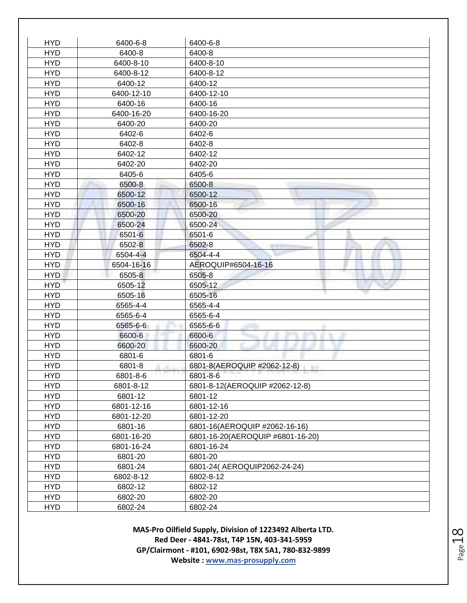| <b>HYD</b> | 6400-6-8   | 6400-6-8                         |
|------------|------------|----------------------------------|
| <b>HYD</b> | 6400-8     | 6400-8                           |
| <b>HYD</b> | 6400-8-10  | 6400-8-10                        |
| <b>HYD</b> | 6400-8-12  | 6400-8-12                        |
| <b>HYD</b> | 6400-12    | 6400-12                          |
| <b>HYD</b> | 6400-12-10 | 6400-12-10                       |
| <b>HYD</b> | 6400-16    | 6400-16                          |
| <b>HYD</b> | 6400-16-20 | 6400-16-20                       |
| <b>HYD</b> | 6400-20    | 6400-20                          |
| <b>HYD</b> | 6402-6     | 6402-6                           |
| <b>HYD</b> | 6402-8     | 6402-8                           |
| <b>HYD</b> | 6402-12    | 6402-12                          |
| <b>HYD</b> | 6402-20    | 6402-20                          |
| <b>HYD</b> | 6405-6     | 6405-6                           |
| <b>HYD</b> | 6500-8     | 6500-8                           |
| <b>HYD</b> | 6500-12    | 6500-12                          |
| <b>HYD</b> | 6500-16    | 6500-16                          |
| <b>HYD</b> | 6500-20    | 6500-20                          |
| <b>HYD</b> | 6500-24    | 6500-24                          |
| <b>HYD</b> | 6501-6     | 6501-6                           |
| <b>HYD</b> | 6502-8     | 6502-8                           |
| <b>HYD</b> | 6504-4-4   | 6504-4-4                         |
| <b>HYD</b> | 6504-16-16 | AEROQUIP#6504-16-16              |
| <b>HYD</b> | 6505-8     | 6505-8                           |
| <b>HYD</b> | 6505-12    | 6505-12                          |
| <b>HYD</b> | 6505-16    | 6505-16                          |
| <b>HYD</b> | 6565-4-4   | 6565-4-4                         |
| <b>HYD</b> | 6565-6-4   | 6565-6-4                         |
| <b>HYD</b> | 6565-6-6   | 6565-6-6                         |
| <b>HYD</b> | 6600-6     | 6600-6                           |
| <b>HYD</b> | 6600-20    | 6600-20                          |
| <b>HYD</b> | 6801-6     | 6801-6                           |
| <b>HYD</b> | 6801-8     | 6801-8(AEROQUIP #2062-12-8)      |
| <b>HYD</b> | 6801-8-6   | 6801-8-6                         |
| <b>HYD</b> | 6801-8-12  | 6801-8-12(AEROQUIP #2062-12-8)   |
| <b>HYD</b> | 6801-12    | 6801-12                          |
| <b>HYD</b> | 6801-12-16 | 6801-12-16                       |
| <b>HYD</b> | 6801-12-20 | 6801-12-20                       |
| <b>HYD</b> | 6801-16    | 6801-16(AEROQUIP #2062-16-16)    |
| <b>HYD</b> | 6801-16-20 | 6801-16-20(AEROQUIP #6801-16-20) |
| <b>HYD</b> | 6801-16-24 | 6801-16-24                       |
| <b>HYD</b> | 6801-20    | 6801-20                          |
| <b>HYD</b> | 6801-24    | 6801-24( AEROQUIP2062-24-24)     |
| <b>HYD</b> | 6802-8-12  | 6802-8-12                        |
| <b>HYD</b> | 6802-12    | 6802-12                          |
| <b>HYD</b> | 6802-20    | 6802-20                          |
| <b>HYD</b> | 6802-24    | 6802-24                          |